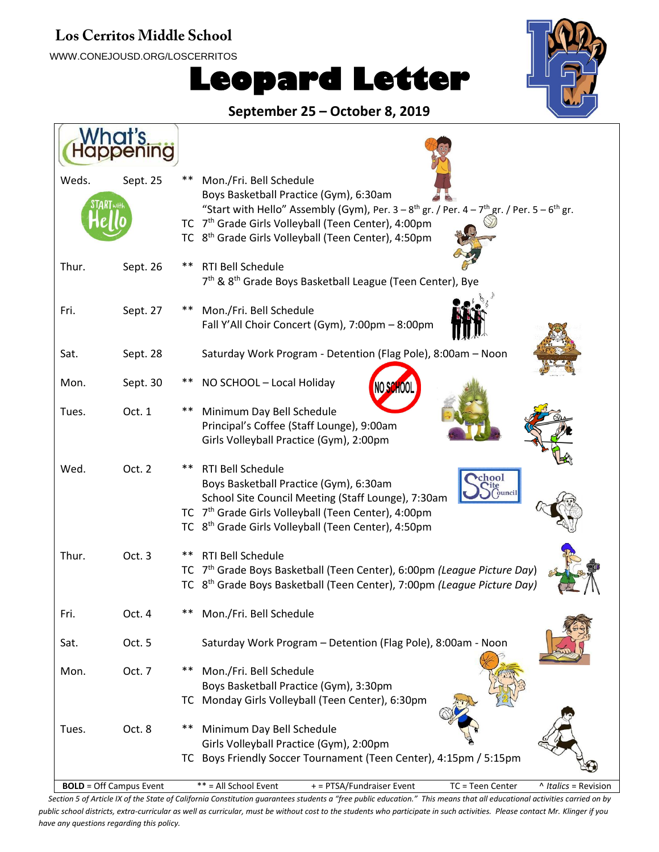#### Los Cerritos Middle School

WWW.CONEJOUSD.ORG/LOSCERRITOS

# **Leopard Letter**



**September 25 – October 8, 2019**

| hat's                          |                                                                                                                                                                                                                                                                               |
|--------------------------------|-------------------------------------------------------------------------------------------------------------------------------------------------------------------------------------------------------------------------------------------------------------------------------|
| Weds.<br>Sept. 25              | **<br>Mon./Fri. Bell Schedule<br>Boys Basketball Practice (Gym), 6:30am<br>"Start with Hello" Assembly (Gym), Per. $3-8$ <sup>th</sup> gr. / Per. $4-7$ <sup>th</sup> gr. / Per. $5-6$ <sup>th</sup> gr.                                                                      |
|                                | TC 7 <sup>th</sup> Grade Girls Volleyball (Teen Center), 4:00pm<br>TC 8 <sup>th</sup> Grade Girls Volleyball (Teen Center), 4:50pm                                                                                                                                            |
| Thur.<br>Sept. 26              | <b>RTI Bell Schedule</b><br>**<br>7 <sup>th</sup> & 8 <sup>th</sup> Grade Boys Basketball League (Teen Center), Bye                                                                                                                                                           |
| Fri.<br>Sept. 27               | Mon./Fri. Bell Schedule<br>**<br>Fall Y'All Choir Concert (Gym), 7:00pm - 8:00pm                                                                                                                                                                                              |
| Sat.<br>Sept. 28               | Saturday Work Program - Detention (Flag Pole), 8:00am - Noon                                                                                                                                                                                                                  |
| Mon.<br>Sept. 30               | NO SCHOOL - Local Holiday                                                                                                                                                                                                                                                     |
| Tues.<br>Oct. 1                | Minimum Day Bell Schedule<br>Principal's Coffee (Staff Lounge), 9:00am<br>Girls Volleyball Practice (Gym), 2:00pm                                                                                                                                                             |
| Oct. 2<br>Wed.                 | <b>RTI Bell Schedule</b><br>**<br>chool<br>Boys Basketball Practice (Gym), 6:30am<br>School Site Council Meeting (Staff Lounge), 7:30am<br>TC 7 <sup>th</sup> Grade Girls Volleyball (Teen Center), 4:00pm<br>TC 8 <sup>th</sup> Grade Girls Volleyball (Teen Center), 4:50pm |
| Thur.<br>Oct. 3                | <b>RTI Bell Schedule</b><br>**<br>TC 7 <sup>th</sup> Grade Boys Basketball (Teen Center), 6:00pm (League Picture Day)<br>TC 8 <sup>th</sup> Grade Boys Basketball (Teen Center), 7:00pm (League Picture Day)                                                                  |
| Oct. 4<br>Fri.                 | **<br>Mon./Fri. Bell Schedule                                                                                                                                                                                                                                                 |
| Oct. 5<br>Sat.                 | Saturday Work Program - Detention (Flag Pole), 8:00am - Noon                                                                                                                                                                                                                  |
| Oct. 7<br>Mon.                 | Mon./Fri. Bell Schedule<br>**<br>Boys Basketball Practice (Gym), 3:30pm<br>Monday Girls Volleyball (Teen Center), 6:30pm<br>TC.                                                                                                                                               |
| Oct. 8<br>Tues.                | Minimum Day Bell Schedule<br>**<br>Girls Volleyball Practice (Gym), 2:00pm<br>Boys Friendly Soccer Tournament (Teen Center), 4:15pm / 5:15pm<br>TC                                                                                                                            |
| <b>BOLD</b> = Off Campus Event | ** = All School Event<br>TC = Teen Center<br>+ = PTSA/Fundraiser Event<br>^ Italics = Revision                                                                                                                                                                                |

*Section 5 of Article IX of the State of California Constitution guarantees students a "free public education." This means that all educational activities carried on by public school districts, extra-curricular as well as curricular, must be without cost to the students who participate in such activities. Please contact Mr. Klinger if you have any questions regarding this policy.*